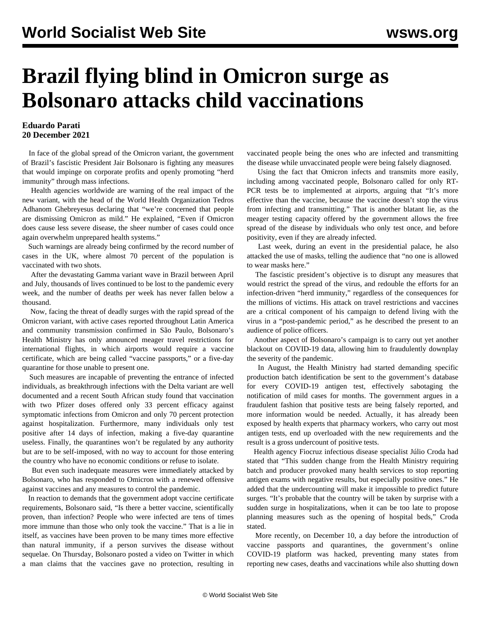## **Brazil flying blind in Omicron surge as Bolsonaro attacks child vaccinations**

## **Eduardo Parati 20 December 2021**

 In face of the global spread of the Omicron variant, the government of Brazil's fascistic President Jair Bolsonaro is fighting any measures that would impinge on corporate profits and openly promoting "herd immunity" through mass infections.

 Health agencies worldwide are warning of the real impact of the new variant, with the head of the World Health Organization Tedros Adhanom Ghebreyesus declaring that "we're concerned that people are dismissing Omicron as mild." He explained, "Even if Omicron does cause less severe disease, the sheer number of cases could once again overwhelm unprepared health systems."

 Such warnings are already being confirmed by the record number of cases in the UK, where almost 70 percent of the population is vaccinated with two shots.

 After the devastating Gamma variant wave in Brazil between April and July, thousands of lives continued to be lost to the pandemic every week, and the number of deaths per week has never fallen below a thousand.

 Now, facing the threat of deadly surges with the rapid spread of the Omicron variant, with active cases reported throughout Latin America and community transmission confirmed in São Paulo, Bolsonaro's Health Ministry has only announced meager travel restrictions for international flights, in which airports would require a vaccine certificate, which are being called "vaccine passports," or a five-day quarantine for those unable to present one.

 Such measures are incapable of preventing the entrance of infected individuals, as breakthrough infections with the Delta variant are well documented and a recent South African study found that vaccination with two Pfizer doses offered only 33 percent efficacy against symptomatic infections from Omicron and only 70 percent protection against hospitalization. Furthermore, many individuals only test positive after 14 days of infection, making a five-day quarantine useless. Finally, the quarantines won't be regulated by any authority but are to be self-imposed, with no way to account for those entering the country who have no economic conditions or refuse to isolate.

 But even such inadequate measures were immediately attacked by Bolsonaro, who has responded to Omicron with a renewed offensive against vaccines and any measures to control the pandemic.

 In reaction to demands that the government adopt vaccine certificate requirements, Bolsonaro said, "Is there a better vaccine, scientifically proven, than infection? People who were infected are tens of times more immune than those who only took the vaccine." That is a lie in itself, as vaccines have been proven to be many times more effective than natural immunity, if a person survives the disease without sequelae. On Thursday, Bolsonaro posted a video on Twitter in which a man claims that the vaccines gave no protection, resulting in

vaccinated people being the ones who are infected and transmitting the disease while unvaccinated people were being falsely diagnosed.

 Using the fact that Omicron infects and transmits more easily, including among vaccinated people, Bolsonaro called for only RT-PCR tests be to implemented at airports, arguing that "It's more effective than the vaccine, because the vaccine doesn't stop the virus from infecting and transmitting." That is another blatant lie, as the meager testing capacity offered by the government allows the free spread of the disease by individuals who only test once, and before positivity, even if they are already infected.

 Last week, during an event in the presidential palace, he also attacked the use of masks, telling the audience that "no one is allowed to wear masks here."

 The fascistic president's objective is to disrupt any measures that would restrict the spread of the virus, and redouble the efforts for an infection-driven "herd immunity," regardless of the consequences for the millions of victims. His attack on travel restrictions and vaccines are a critical component of his campaign to defend living with the virus in a "post-pandemic period," as he described the present to an audience of police officers.

 Another aspect of Bolsonaro's campaign is to carry out yet another blackout on COVID-19 data, allowing him to fraudulently downplay the severity of the pandemic.

 In August, the Health Ministry had started demanding specific production batch identification be sent to the government's database for every COVID-19 antigen test, effectively sabotaging the notification of mild cases for months. The government argues in a fraudulent fashion that positive tests are being falsely reported, and more information would be needed. Actually, it has already been exposed by health experts that pharmacy workers, who carry out most antigen tests, end up overloaded with the new requirements and the result is a gross undercount of positive tests.

 Health agency Fiocruz infectious disease specialist Júlio Croda had stated that "This sudden change from the Health Ministry requiring batch and producer provoked many health services to stop reporting antigen exams with negative results, but especially positive ones." He added that the undercounting will make it impossible to predict future surges. "It's probable that the country will be taken by surprise with a sudden surge in hospitalizations, when it can be too late to propose planning measures such as the opening of hospital beds," Croda stated.

 More recently, on December 10, a day before the introduction of vaccine passports and quarantines, the government's online COVID-19 platform was hacked, preventing many states from reporting new cases, deaths and vaccinations while also shutting down